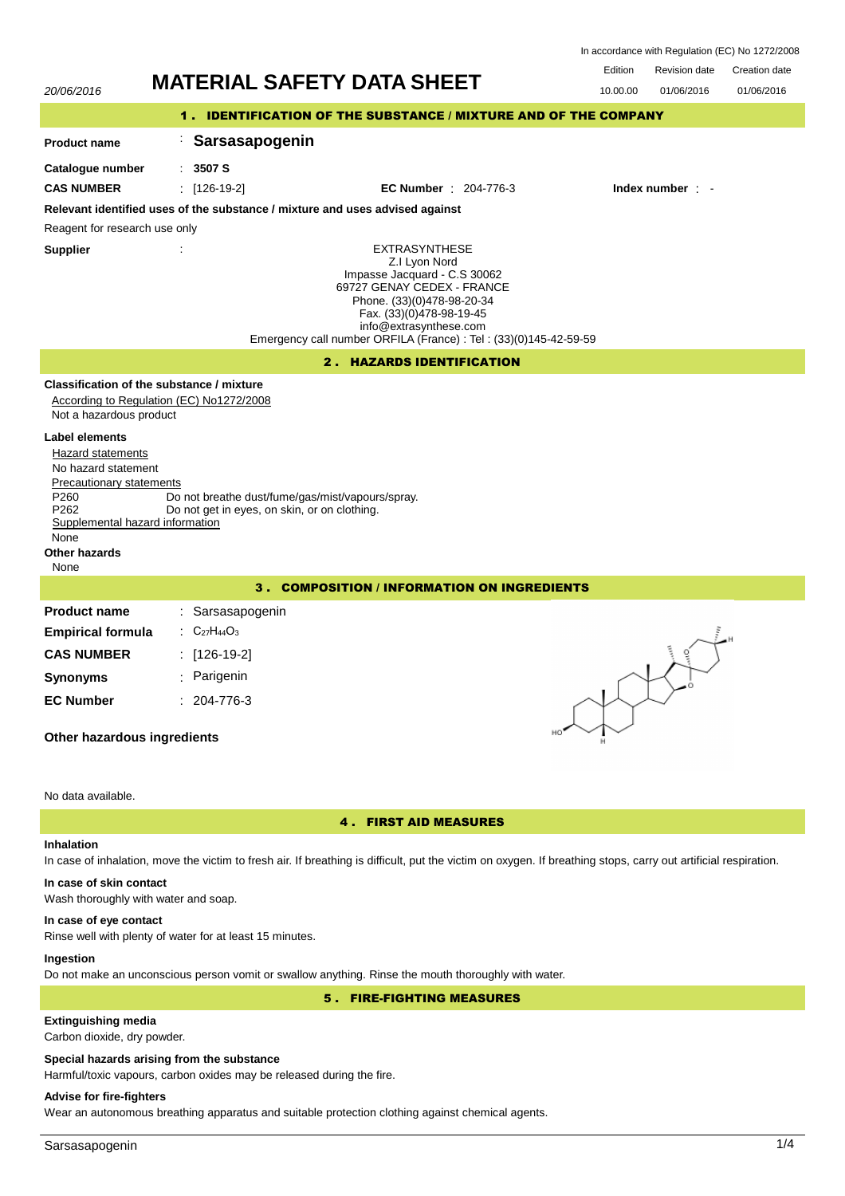| In accordance with Regulation (EC) No 1272/2008 |  |  |  |
|-------------------------------------------------|--|--|--|
|-------------------------------------------------|--|--|--|

| 20/06/2016                                                                                                                                                                                                | <b>MATERIAL SAFETY DATA SHEET</b>                                                                                                                                                                                                                            | Edition<br>10.00.00 | <b>Revision date</b><br>01/06/2016 | Creation date<br>01/06/2016 |  |  |  |
|-----------------------------------------------------------------------------------------------------------------------------------------------------------------------------------------------------------|--------------------------------------------------------------------------------------------------------------------------------------------------------------------------------------------------------------------------------------------------------------|---------------------|------------------------------------|-----------------------------|--|--|--|
| 1. IDENTIFICATION OF THE SUBSTANCE / MIXTURE AND OF THE COMPANY                                                                                                                                           |                                                                                                                                                                                                                                                              |                     |                                    |                             |  |  |  |
| <b>Product name</b>                                                                                                                                                                                       | Sarsasapogenin                                                                                                                                                                                                                                               |                     |                                    |                             |  |  |  |
| Catalogue number                                                                                                                                                                                          | : 3507S                                                                                                                                                                                                                                                      |                     |                                    |                             |  |  |  |
| <b>CAS NUMBER</b>                                                                                                                                                                                         | $\therefore$ [126-19-2]<br><b>EC Number</b> : 204-776-3                                                                                                                                                                                                      |                     | Index number : -                   |                             |  |  |  |
|                                                                                                                                                                                                           | Relevant identified uses of the substance / mixture and uses advised against                                                                                                                                                                                 |                     |                                    |                             |  |  |  |
| Reagent for research use only                                                                                                                                                                             |                                                                                                                                                                                                                                                              |                     |                                    |                             |  |  |  |
| <b>Supplier</b>                                                                                                                                                                                           | <b>EXTRASYNTHESE</b><br>Z.I Lyon Nord<br>Impasse Jacquard - C.S 30062<br>69727 GENAY CEDEX - FRANCE<br>Phone. (33)(0)478-98-20-34<br>Fax. (33)(0)478-98-19-45<br>info@extrasynthese.com<br>Emergency call number ORFILA (France) : Tel : (33)(0)145-42-59-59 |                     |                                    |                             |  |  |  |
|                                                                                                                                                                                                           | 2. HAZARDS IDENTIFICATION                                                                                                                                                                                                                                    |                     |                                    |                             |  |  |  |
| Not a hazardous product                                                                                                                                                                                   | Classification of the substance / mixture<br>According to Regulation (EC) No1272/2008                                                                                                                                                                        |                     |                                    |                             |  |  |  |
| Label elements<br>Hazard statements<br>No hazard statement<br><b>Precautionary statements</b><br>P <sub>260</sub><br>P <sub>262</sub><br>Supplemental hazard information<br>None<br>Other hazards<br>None | Do not breathe dust/fume/gas/mist/vapours/spray.<br>Do not get in eyes, on skin, or on clothing.                                                                                                                                                             |                     |                                    |                             |  |  |  |
| <b>COMPOSITION / INFORMATION ON INGREDIENTS</b><br>3.                                                                                                                                                     |                                                                                                                                                                                                                                                              |                     |                                    |                             |  |  |  |
| <b>Product name</b>                                                                                                                                                                                       | : Sarsasapogenin                                                                                                                                                                                                                                             |                     |                                    |                             |  |  |  |
| <b>Empirical formula</b>                                                                                                                                                                                  | : $C_{27}H_{44}O_3$                                                                                                                                                                                                                                          |                     |                                    |                             |  |  |  |
| <b>CAS NUMBER</b>                                                                                                                                                                                         | : [126-19-2]                                                                                                                                                                                                                                                 |                     |                                    |                             |  |  |  |
| <b>Synonyms</b>                                                                                                                                                                                           | Parigenin                                                                                                                                                                                                                                                    |                     |                                    |                             |  |  |  |
| <b>EC Number</b><br>Other hazardous ingredients                                                                                                                                                           | $: 204-776-3$                                                                                                                                                                                                                                                |                     |                                    |                             |  |  |  |
| No data available.                                                                                                                                                                                        |                                                                                                                                                                                                                                                              |                     |                                    |                             |  |  |  |

# 4 . FIRST AID MEASURES

# **Inhalation**

In case of inhalation, move the victim to fresh air. If breathing is difficult, put the victim on oxygen. If breathing stops, carry out artificial respiration.

# **In case of skin contact**

Wash thoroughly with water and soap.

### **In case of eye contact**

Rinse well with plenty of water for at least 15 minutes.

# **Ingestion**

Do not make an unconscious person vomit or swallow anything. Rinse the mouth thoroughly with water.

5 . FIRE-FIGHTING MEASURES

# **Extinguishing media**

Carbon dioxide, dry powder.

## **Special hazards arising from the substance**

Harmful/toxic vapours, carbon oxides may be released during the fire.

# **Advise for fire-fighters**

Wear an autonomous breathing apparatus and suitable protection clothing against chemical agents.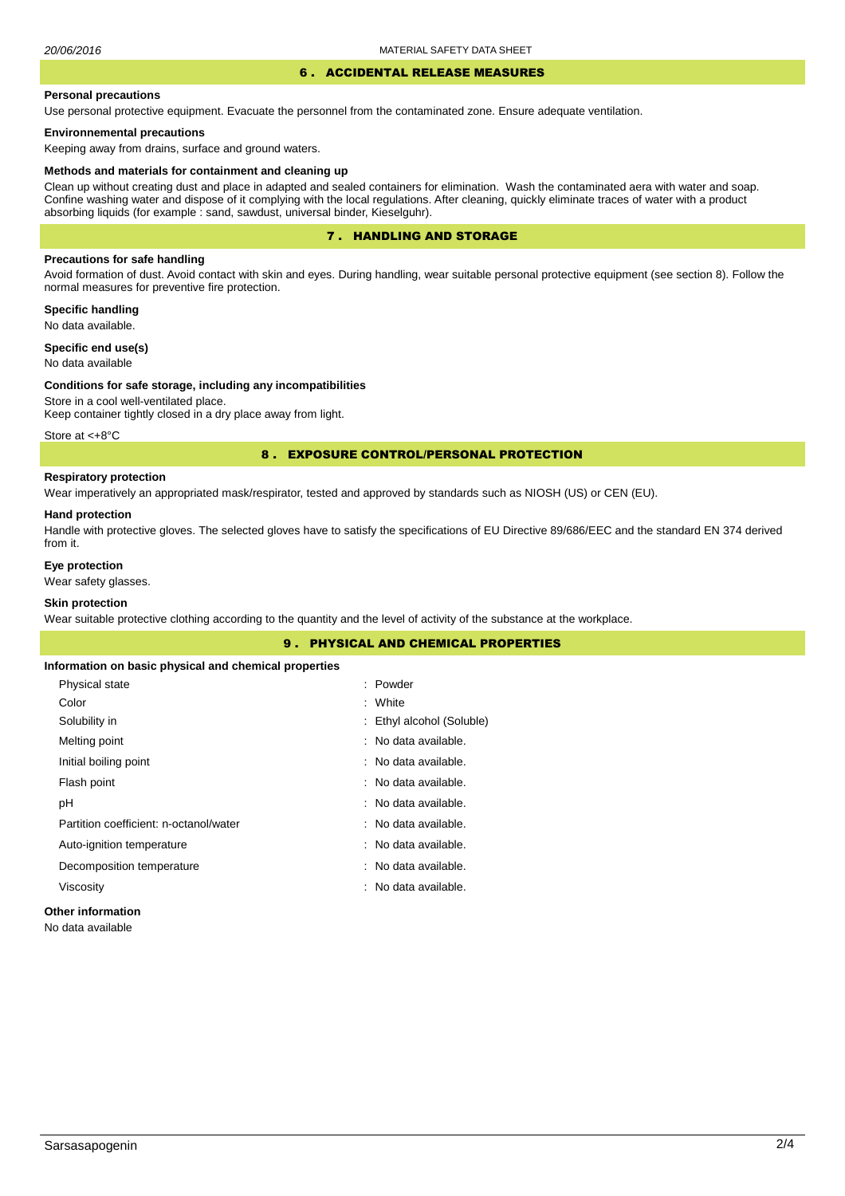## 6 . ACCIDENTAL RELEASE MEASURES

#### **Personal precautions**

Use personal protective equipment. Evacuate the personnel from the contaminated zone. Ensure adequate ventilation.

### **Environnemental precautions**

Keeping away from drains, surface and ground waters.

#### **Methods and materials for containment and cleaning up**

Clean up without creating dust and place in adapted and sealed containers for elimination. Wash the contaminated aera with water and soap. Confine washing water and dispose of it complying with the local regulations. After cleaning, quickly eliminate traces of water with a product absorbing liquids (for example : sand, sawdust, universal binder, Kieselguhr).

### 7 . HANDLING AND STORAGE

### **Precautions for safe handling**

Avoid formation of dust. Avoid contact with skin and eyes. During handling, wear suitable personal protective equipment (see section 8). Follow the normal measures for preventive fire protection.

**Specific handling** No data available.

**Specific end use(s)**

No data available

#### **Conditions for safe storage, including any incompatibilities**

Store in a cool well-ventilated place. Keep container tightly closed in a dry place away from light.

Store at <+8°C

#### 8 . EXPOSURE CONTROL/PERSONAL PROTECTION

### **Respiratory protection**

Wear imperatively an appropriated mask/respirator, tested and approved by standards such as NIOSH (US) or CEN (EU).

#### **Hand protection**

Handle with protective gloves. The selected gloves have to satisfy the specifications of EU Directive 89/686/EEC and the standard EN 374 derived from it.

### **Eye protection**

Wear safety glasses.

## **Skin protection**

Wear suitable protective clothing according to the quantity and the level of activity of the substance at the workplace.

|                                                       | <b>9. PHYSICAL AND CHEMICAL PROPERTIES</b> |  |
|-------------------------------------------------------|--------------------------------------------|--|
| Information on basic physical and chemical properties |                                            |  |
| Physical state                                        | : Powder                                   |  |
| Color                                                 | : White                                    |  |
| Solubility in                                         | : Ethyl alcohol (Soluble)                  |  |
| Melting point                                         | : No data available.                       |  |
| Initial boiling point                                 | : No data available.                       |  |
| Flash point                                           | : No data available.                       |  |
| рH                                                    | : No data available.                       |  |
| Partition coefficient: n-octanol/water                | : No data available.                       |  |
| Auto-ignition temperature                             | : No data available.                       |  |
| Decomposition temperature                             | : No data available.                       |  |
| Viscosity                                             | : No data available.                       |  |
| Arthur and the function of the con-                   |                                            |  |

### **Other information**

No data available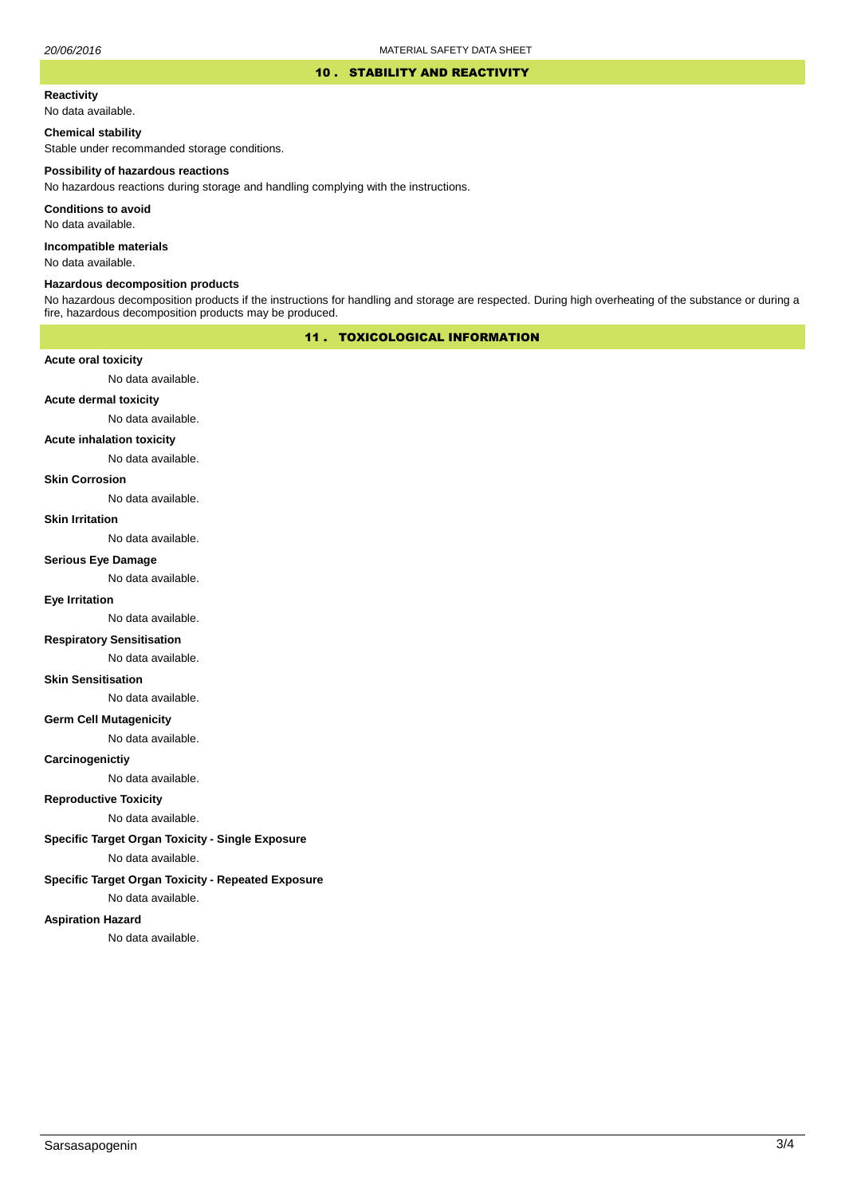#### 10 . STABILITY AND REACTIVITY

#### **Reactivity**

No data available.

### **Chemical stability**

Stable under recommanded storage conditions.

#### **Possibility of hazardous reactions**

No hazardous reactions during storage and handling complying with the instructions.

**Conditions to avoid**

No data available.

**Incompatible materials**

No data available.

#### **Hazardous decomposition products**

No hazardous decomposition products if the instructions for handling and storage are respected. During high overheating of the substance or during a fire, hazardous decomposition products may be produced.

## 11 . TOXICOLOGICAL INFORMATION

### **Acute oral toxicity**

No data available.

# **Acute dermal toxicity**

No data available.

### **Acute inhalation toxicity**

No data available.

### **Skin Corrosion**

No data available.

#### **Skin Irritation**

No data available.

# **Serious Eye Damage**

No data available.

# **Eye Irritation**

No data available.

### **Respiratory Sensitisation**

No data available.

#### **Skin Sensitisation**

No data available.

### **Germ Cell Mutagenicity**

No data available.

### **Carcinogenictiy**

No data available.

## **Reproductive Toxicity**

No data available.

## **Specific Target Organ Toxicity - Single Exposure**

No data available.

### **Specific Target Organ Toxicity - Repeated Exposure**

No data available.

#### **Aspiration Hazard**

No data available.